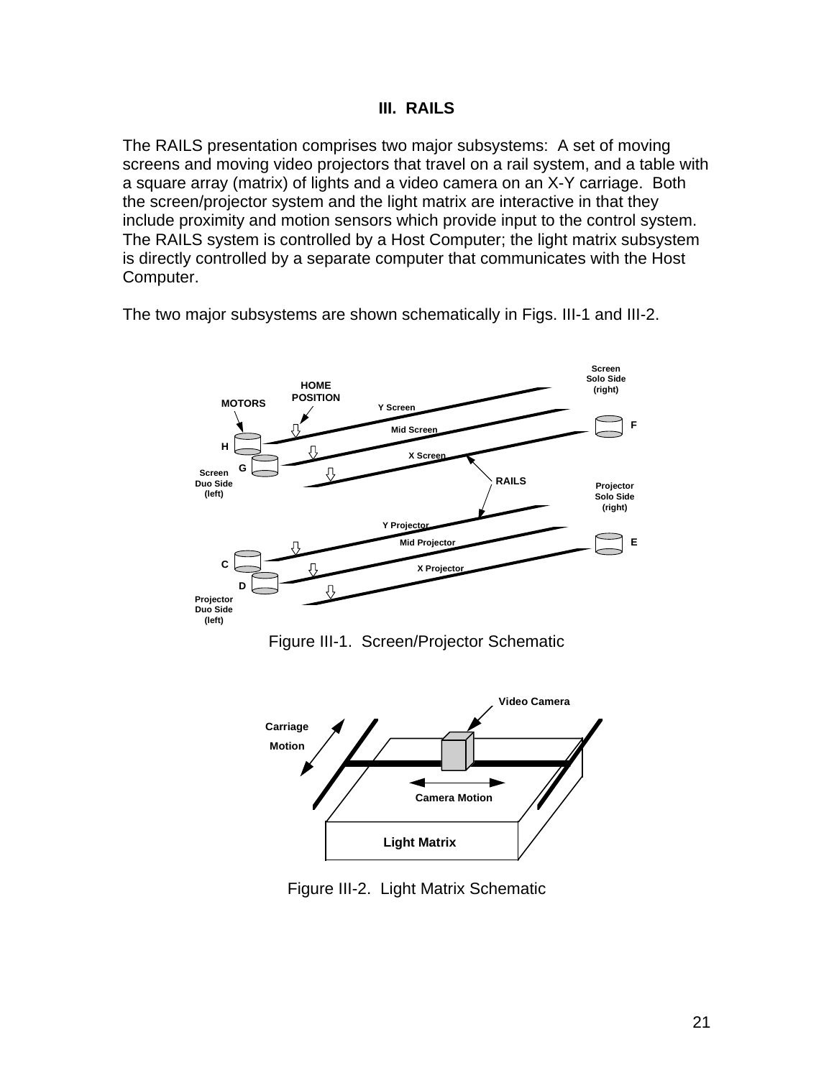The RAILS presentation comprises two major subsystems: A set of moving screens and moving video projectors that travel on a rail system, and a table with a square array (matrix) of lights and a video camera on an X-Y carriage. Both the screen/projector system and the light matrix are interactive in that they include proximity and motion sensors which provide input to the control system. The RAILS system is controlled by a Host Computer; the light matrix subsystem is directly controlled by a separate computer that communicates with the Host Computer.

The two major subsystems are shown schematically in Figs. III-1 and III-2.



Figure III-1. Screen/Projector Schematic



Figure III-2. Light Matrix Schematic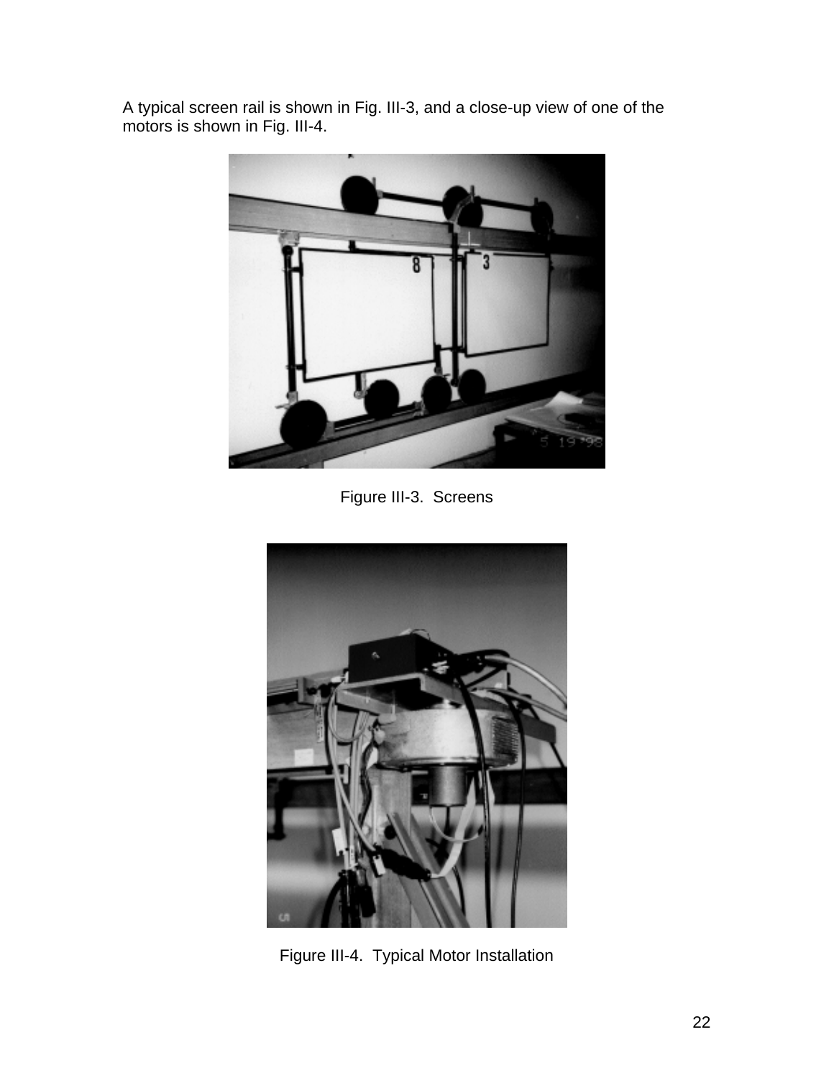A typical screen rail is shown in Fig. III-3, and a close-up view of one of the motors is shown in Fig. III-4.



Figure III-3. Screens



Figure III-4. Typical Motor Installation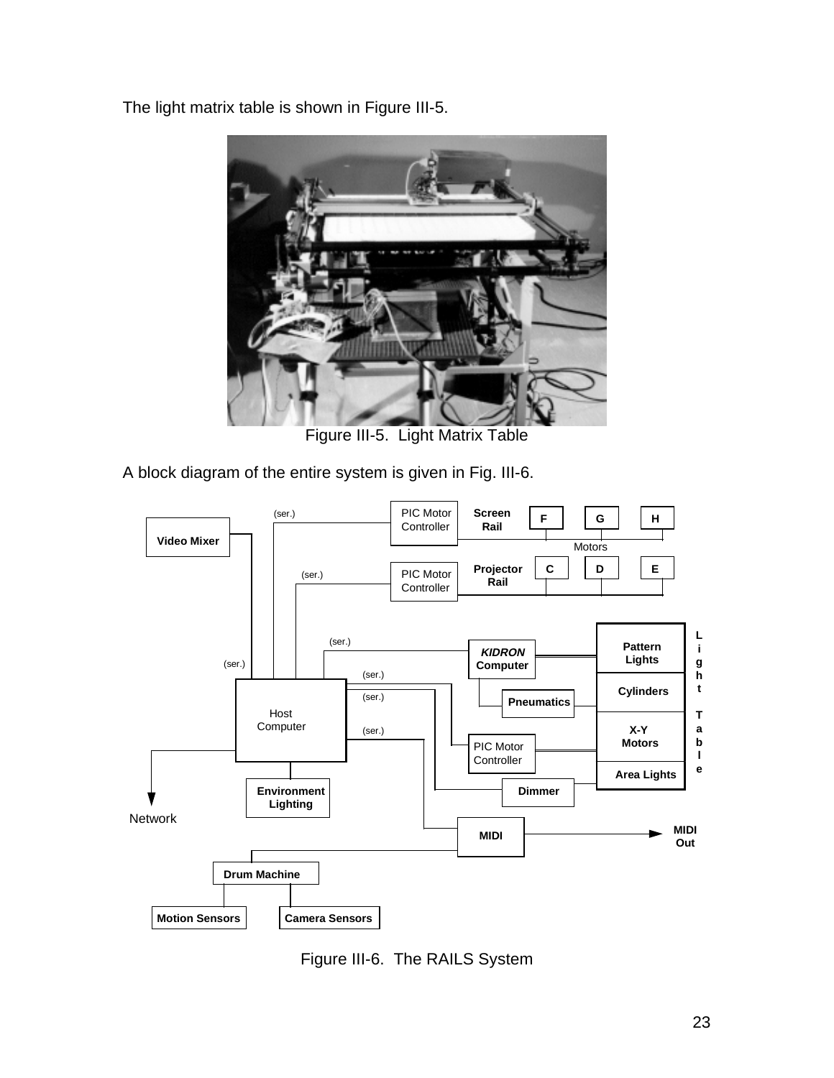The light matrix table is shown in Figure III-5.



Figure III-5. Light Matrix Table

A block diagram of the entire system is given in Fig. III-6.



Figure III-6. The RAILS System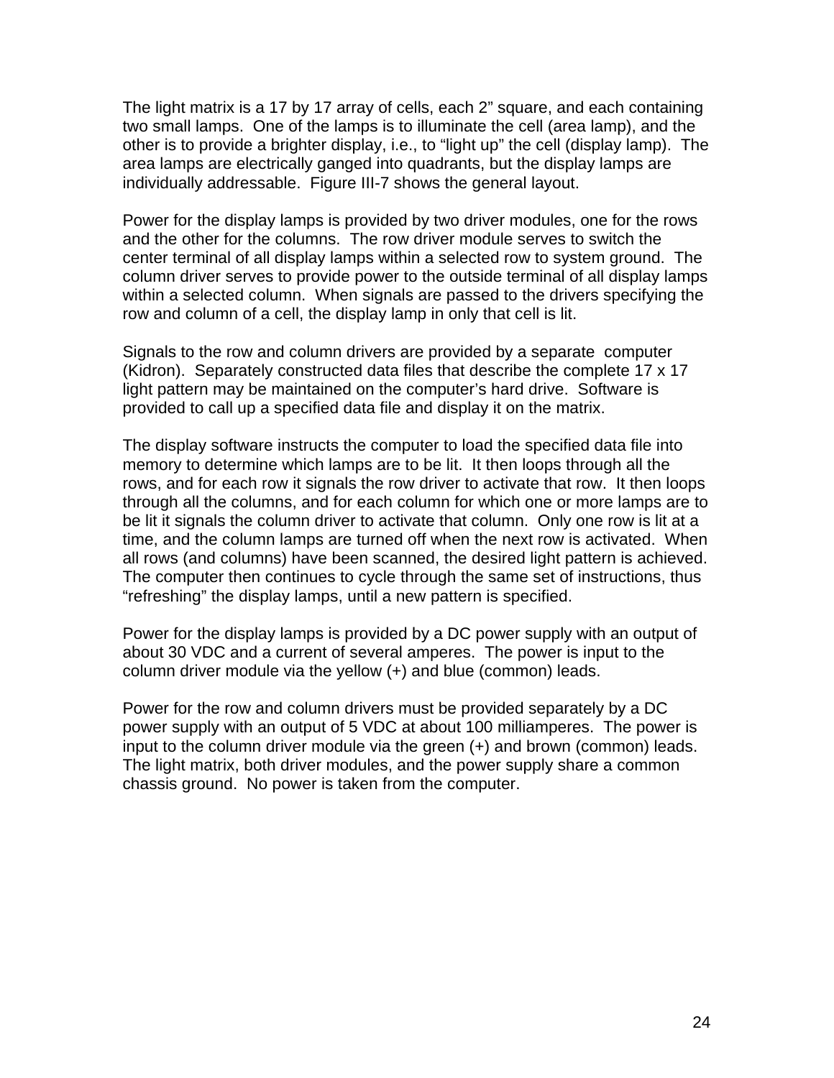The light matrix is a 17 by 17 array of cells, each 2" square, and each containing two small lamps. One of the lamps is to illuminate the cell (area lamp), and the other is to provide a brighter display, i.e., to "light up" the cell (display lamp). The area lamps are electrically ganged into quadrants, but the display lamps are individually addressable. Figure III-7 shows the general layout.

Power for the display lamps is provided by two driver modules, one for the rows and the other for the columns. The row driver module serves to switch the center terminal of all display lamps within a selected row to system ground. The column driver serves to provide power to the outside terminal of all display lamps within a selected column. When signals are passed to the drivers specifying the row and column of a cell, the display lamp in only that cell is lit.

Signals to the row and column drivers are provided by a separate computer (Kidron). Separately constructed data files that describe the complete 17 x 17 light pattern may be maintained on the computer's hard drive. Software is provided to call up a specified data file and display it on the matrix.

The display software instructs the computer to load the specified data file into memory to determine which lamps are to be lit. It then loops through all the rows, and for each row it signals the row driver to activate that row. It then loops through all the columns, and for each column for which one or more lamps are to be lit it signals the column driver to activate that column. Only one row is lit at a time, and the column lamps are turned off when the next row is activated. When all rows (and columns) have been scanned, the desired light pattern is achieved. The computer then continues to cycle through the same set of instructions, thus "refreshing" the display lamps, until a new pattern is specified.

Power for the display lamps is provided by a DC power supply with an output of about 30 VDC and a current of several amperes. The power is input to the column driver module via the yellow (+) and blue (common) leads.

Power for the row and column drivers must be provided separately by a DC power supply with an output of 5 VDC at about 100 milliamperes. The power is input to the column driver module via the green (+) and brown (common) leads. The light matrix, both driver modules, and the power supply share a common chassis ground. No power is taken from the computer.